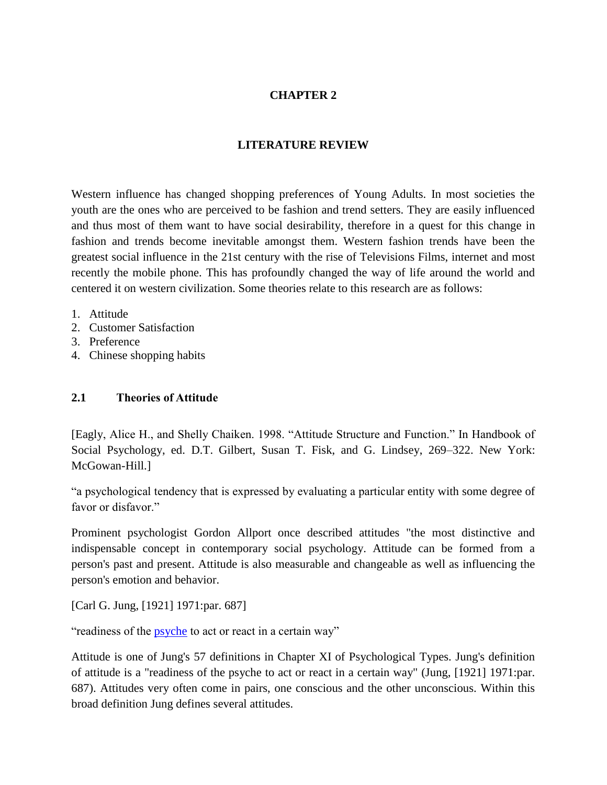## **CHAPTER 2**

#### **LITERATURE REVIEW**

Western influence has changed shopping preferences of Young Adults. In most societies the youth are the ones who are perceived to be fashion and trend setters. They are easily influenced and thus most of them want to have social desirability, therefore in a quest for this change in fashion and trends become inevitable amongst them. Western fashion trends have been the greatest social influence in the 21st century with the rise of Televisions Films, internet and most recently the mobile phone. This has profoundly changed the way of life around the world and centered it on western civilization. Some theories relate to this research are as follows:

- 1. Attitude
- 2. Customer Satisfaction
- 3. Preference
- 4. Chinese shopping habits

#### **2.1 Theories of Attitude**

[Eagly, Alice H., and Shelly Chaiken. 1998. "Attitude Structure and Function." In Handbook of Social Psychology, ed. D.T. Gilbert, Susan T. Fisk, and G. Lindsey, 269–322. New York: McGowan-Hill.]

"a psychological tendency that is expressed by evaluating a particular entity with some degree of favor or disfavor."

Prominent psychologist Gordon Allport once described attitudes "the most distinctive and indispensable concept in contemporary social psychology. Attitude can be formed from a person's past and present. Attitude is also measurable and changeable as well as influencing the person's emotion and behavior.

[Carl G. Jung, [1921] 1971:par. 687]

"readiness of the [psyche](http://en.wikipedia.org/wiki/Psyche_(psychology)#Jung_psyche_def) to act or react in a certain way"

Attitude is one of Jung's 57 definitions in Chapter XI of Psychological Types. Jung's definition of attitude is a "readiness of the psyche to act or react in a certain way" (Jung, [1921] 1971:par. 687). Attitudes very often come in pairs, one conscious and the other unconscious. Within this broad definition Jung defines several attitudes.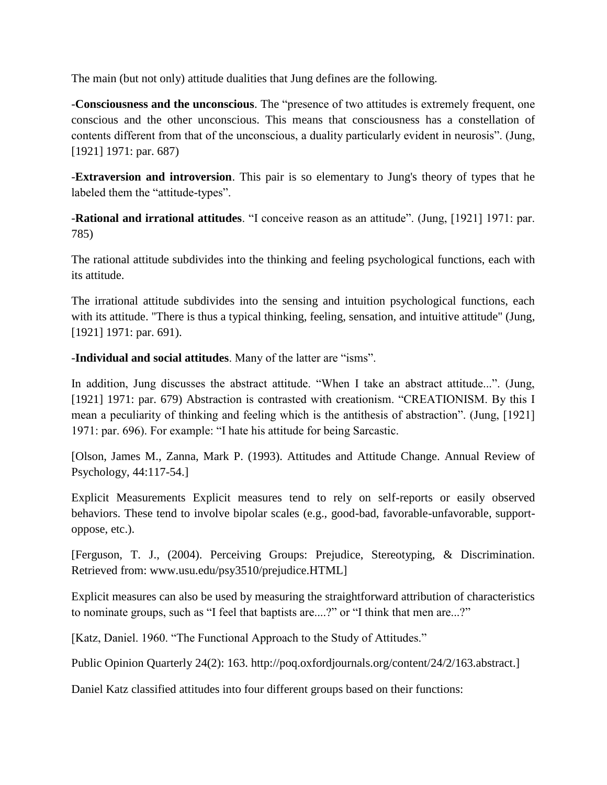The main (but not only) attitude dualities that Jung defines are the following.

-**Consciousness and the unconscious**. The "presence of two attitudes is extremely frequent, one conscious and the other unconscious. This means that consciousness has a constellation of contents different from that of the unconscious, a duality particularly evident in neurosis". (Jung, [1921] 1971: par. 687)

-**Extraversion and introversion**. This pair is so elementary to Jung's theory of types that he labeled them the "attitude-types".

-**Rational and irrational attitudes**. "I conceive reason as an attitude". (Jung, [1921] 1971: par. 785)

The rational attitude subdivides into the thinking and feeling psychological functions, each with its attitude.

The irrational attitude subdivides into the sensing and intuition psychological functions, each with its attitude. "There is thus a typical thinking, feeling, sensation, and intuitive attitude" (Jung, [1921] 1971: par. 691).

-**Individual and social attitudes**. Many of the latter are "isms".

In addition, Jung discusses the abstract attitude. "When I take an abstract attitude...". (Jung, [1921] 1971: par. 679) Abstraction is contrasted with creationism. "CREATIONISM. By this I mean a peculiarity of thinking and feeling which is the antithesis of abstraction". (Jung, [1921] 1971: par. 696). For example: "I hate his attitude for being Sarcastic.

[Olson, James M., Zanna, Mark P. (1993). Attitudes and Attitude Change. Annual Review of Psychology, 44:117-54.]

Explicit Measurements Explicit measures tend to rely on self-reports or easily observed behaviors. These tend to involve bipolar scales (e.g., good-bad, favorable-unfavorable, supportoppose, etc.).

[Ferguson, T. J., (2004). Perceiving Groups: Prejudice, Stereotyping, & Discrimination. Retrieved from: [www.usu.edu/psy3510/prejudice.HTML\]](http://www.usu.edu/psy3510/prejudice.HTML)

Explicit measures can also be used by measuring the straightforward attribution of characteristics to nominate groups, such as "I feel that baptists are....?" or "I think that men are...?"

[Katz, Daniel. 1960. "The Functional Approach to the Study of Attitudes."

Public Opinion Quarterly 24(2): 163. http://poq.oxfordjournals.org/content/24/2/163.abstract.]

Daniel Katz classified attitudes into four different groups based on their functions: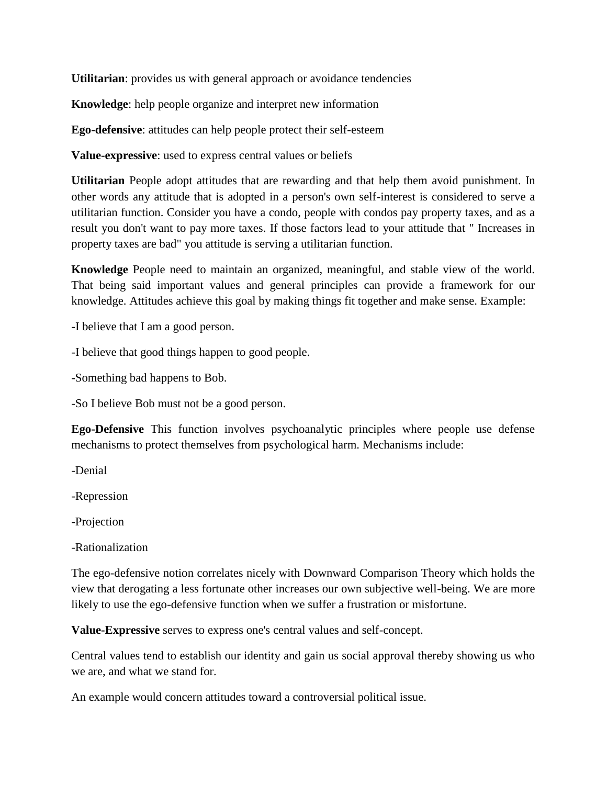**Utilitarian**: provides us with general approach or avoidance tendencies

**Knowledge**: help people organize and interpret new information

**Ego-defensive**: attitudes can help people protect their self-esteem

**Value-expressive**: used to express central values or beliefs

**Utilitarian** People adopt attitudes that are rewarding and that help them avoid punishment. In other words any attitude that is adopted in a person's own self-interest is considered to serve a utilitarian function. Consider you have a condo, people with condos pay property taxes, and as a result you don't want to pay more taxes. If those factors lead to your attitude that " Increases in property taxes are bad" you attitude is serving a utilitarian function.

**Knowledge** People need to maintain an organized, meaningful, and stable view of the world. That being said important values and general principles can provide a framework for our knowledge. Attitudes achieve this goal by making things fit together and make sense. Example:

-I believe that I am a good person.

-I believe that good things happen to good people.

-Something bad happens to Bob.

-So I believe Bob must not be a good person.

**Ego-Defensive** This function involves psychoanalytic principles where people use defense mechanisms to protect themselves from psychological harm. Mechanisms include:

-Denial

-Repression

-Projection

-Rationalization

The ego-defensive notion correlates nicely with Downward Comparison Theory which holds the view that derogating a less fortunate other increases our own subjective well-being. We are more likely to use the ego-defensive function when we suffer a frustration or misfortune.

**Value-Expressive** serves to express one's central values and self-concept.

Central values tend to establish our identity and gain us social approval thereby showing us who we are, and what we stand for.

An example would concern attitudes toward a controversial political issue.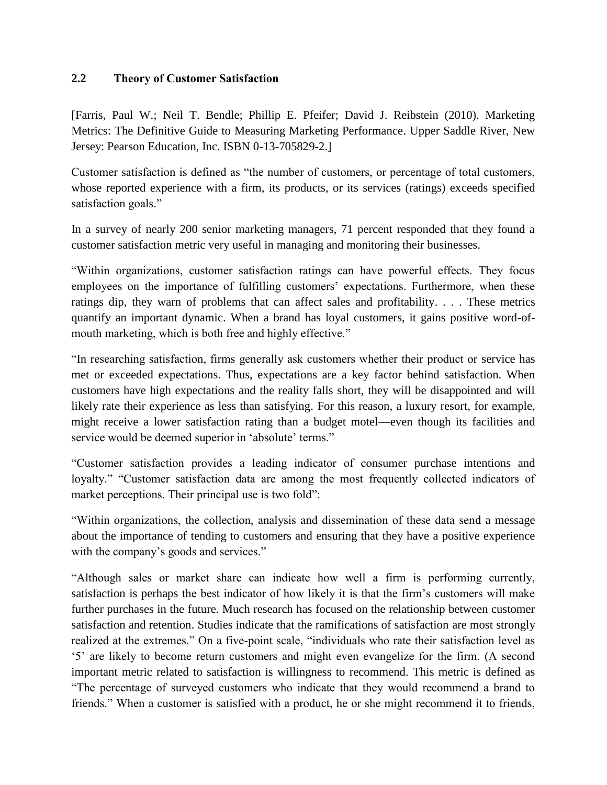#### **2.2 Theory of Customer Satisfaction**

[Farris, Paul W.; Neil T. Bendle; Phillip E. Pfeifer; David J. Reibstein (2010). Marketing Metrics: The Definitive Guide to Measuring Marketing Performance. Upper Saddle River, New Jersey: Pearson Education, Inc. ISBN 0-13-705829-2.]

Customer satisfaction is defined as "the number of customers, or percentage of total customers, whose reported experience with a firm, its products, or its services (ratings) exceeds specified satisfaction goals."

In a survey of nearly 200 senior marketing managers, 71 percent responded that they found a customer satisfaction metric very useful in managing and monitoring their businesses.

"Within organizations, customer satisfaction ratings can have powerful effects. They focus employees on the importance of fulfilling customers' expectations. Furthermore, when these ratings dip, they warn of problems that can affect sales and profitability. . . . These metrics quantify an important dynamic. When a brand has loyal customers, it gains positive word-ofmouth marketing, which is both free and highly effective."

"In researching satisfaction, firms generally ask customers whether their product or service has met or exceeded expectations. Thus, expectations are a key factor behind satisfaction. When customers have high expectations and the reality falls short, they will be disappointed and will likely rate their experience as less than satisfying. For this reason, a luxury resort, for example, might receive a lower satisfaction rating than a budget motel—even though its facilities and service would be deemed superior in 'absolute' terms."

"Customer satisfaction provides a leading indicator of consumer purchase intentions and loyalty." "Customer satisfaction data are among the most frequently collected indicators of market perceptions. Their principal use is two fold":

"Within organizations, the collection, analysis and dissemination of these data send a message about the importance of tending to customers and ensuring that they have a positive experience with the company's goods and services."

"Although sales or market share can indicate how well a firm is performing currently, satisfaction is perhaps the best indicator of how likely it is that the firm's customers will make further purchases in the future. Much research has focused on the relationship between customer satisfaction and retention. Studies indicate that the ramifications of satisfaction are most strongly realized at the extremes." On a five-point scale, "individuals who rate their satisfaction level as '5' are likely to become return customers and might even evangelize for the firm. (A second important metric related to satisfaction is willingness to recommend. This metric is defined as "The percentage of surveyed customers who indicate that they would recommend a brand to friends." When a customer is satisfied with a product, he or she might recommend it to friends,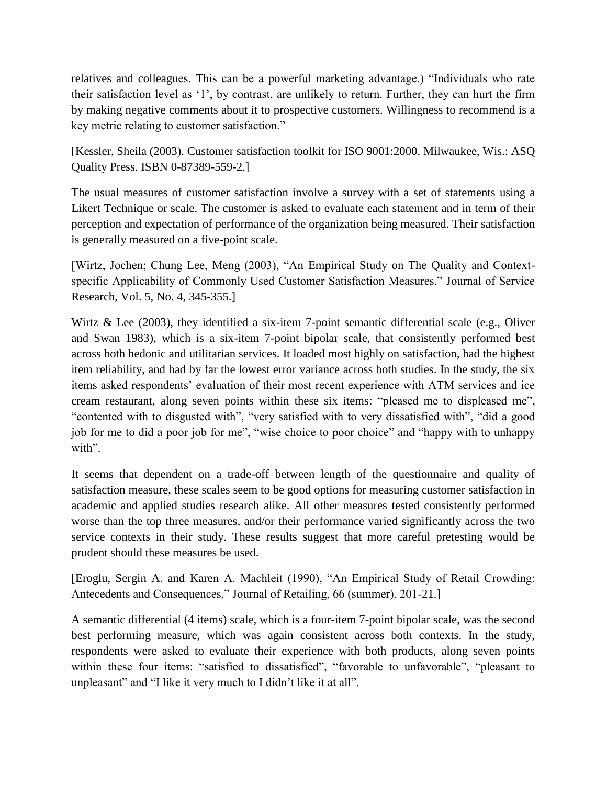relatives and colleagues. This can be a powerful marketing advantage.) "Individuals who rate their satisfaction level as '1', by contrast, are unlikely to return. Further, they can hurt the firm by making negative comments about it to prospective customers. Willingness to recommend is a key metric relating to customer satisfaction."

[Kessler, Sheila (2003). Customer satisfaction toolkit for ISO 9001:2000. Milwaukee, Wis.: ASQ Quality Press. ISBN 0-87389-559-2.]

The usual measures of customer satisfaction involve a survey with a set of statements using a Likert Technique or scale. The customer is asked to evaluate each statement and in term of their perception and expectation of performance of the organization being measured. Their satisfaction is generally measured on a five-point scale.

[Wirtz, Jochen; Chung Lee, Meng (2003), "An Empirical Study on The Quality and Contextspecific Applicability of Commonly Used Customer Satisfaction Measures," Journal of Service Research, Vol. 5, No. 4, 345-355.]

Wirtz & Lee (2003), they identified a six-item 7-point semantic differential scale (e.g., Oliver and Swan 1983), which is a six-item 7-point bipolar scale, that consistently performed best across both hedonic and utilitarian services. It loaded most highly on satisfaction, had the highest item reliability, and had by far the lowest error variance across both studies. In the study, the six items asked respondents' evaluation of their most recent experience with ATM services and ice cream restaurant, along seven points within these six items: "pleased me to displeased me", "contented with to disgusted with", "very satisfied with to very dissatisfied with", "did a good job for me to did a poor job for me", "wise choice to poor choice" and "happy with to unhappy with".

It seems that dependent on a trade-off between length of the questionnaire and quality of satisfaction measure, these scales seem to be good options for measuring customer satisfaction in academic and applied studies research alike. All other measures tested consistently performed worse than the top three measures, and/or their performance varied significantly across the two service contexts in their study. These results suggest that more careful pretesting would be prudent should these measures be used.

[Eroglu, Sergin A. and Karen A. Machleit (1990), "An Empirical Study of Retail Crowding: Antecedents and Consequences," Journal of Retailing, 66 (summer), 201-21.]

A semantic differential (4 items) scale, which is a four-item 7-point bipolar scale, was the second best performing measure, which was again consistent across both contexts. In the study, respondents were asked to evaluate their experience with both products, along seven points within these four items: "satisfied to dissatisfied", "favorable to unfavorable", "pleasant to unpleasant" and "I like it very much to I didn't like it at all".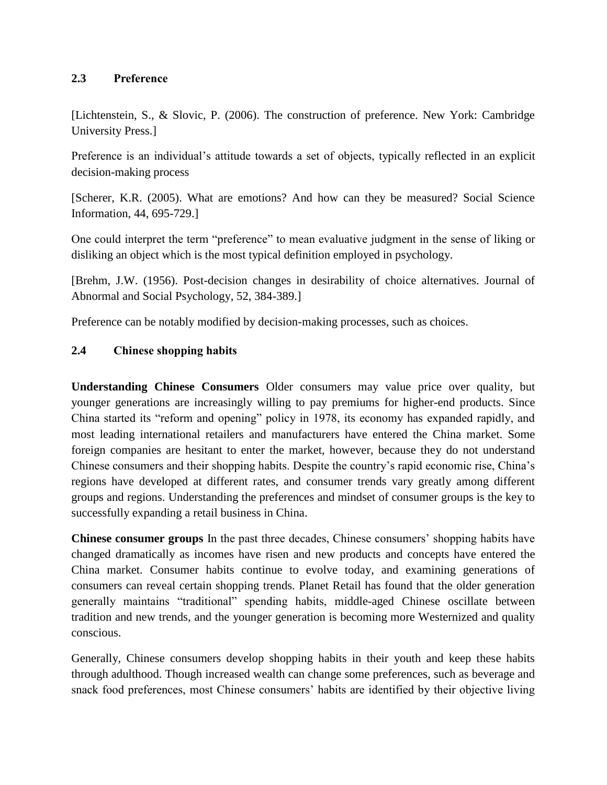### **2.3 Preference**

[Lichtenstein, S., & Slovic, P. (2006). The construction of preference. New York: Cambridge University Press.]

Preference is an individual's attitude towards a set of objects, typically reflected in an explicit decision-making process

[Scherer, K.R. (2005). What are emotions? And how can they be measured? Social Science Information, 44, 695-729.]

One could interpret the term "preference" to mean evaluative judgment in the sense of liking or disliking an object which is the most typical definition employed in psychology.

[Brehm, J.W. (1956). Post-decision changes in desirability of choice alternatives. Journal of Abnormal and Social Psychology, 52, 384-389.]

Preference can be notably modified by decision-making processes, such as choices.

## **2.4 Chinese shopping habits**

**Understanding Chinese Consumers** Older consumers may value price over quality, but younger generations are increasingly willing to pay premiums for higher-end products. Since China started its "reform and opening" policy in 1978, its economy has expanded rapidly, and most leading international retailers and manufacturers have entered the China market. Some foreign companies are hesitant to enter the market, however, because they do not understand Chinese consumers and their shopping habits. Despite the country's rapid economic rise, China's regions have developed at different rates, and consumer trends vary greatly among different groups and regions. Understanding the preferences and mindset of consumer groups is the key to successfully expanding a retail business in China.

**Chinese consumer groups** In the past three decades, Chinese consumers' shopping habits have changed dramatically as incomes have risen and new products and concepts have entered the China market. Consumer habits continue to evolve today, and examining generations of consumers can reveal certain shopping trends. Planet Retail has found that the older generation generally maintains "traditional" spending habits, middle-aged Chinese oscillate between tradition and new trends, and the younger generation is becoming more Westernized and quality conscious.

Generally, Chinese consumers develop shopping habits in their youth and keep these habits through adulthood. Though increased wealth can change some preferences, such as beverage and snack food preferences, most Chinese consumers' habits are identified by their objective living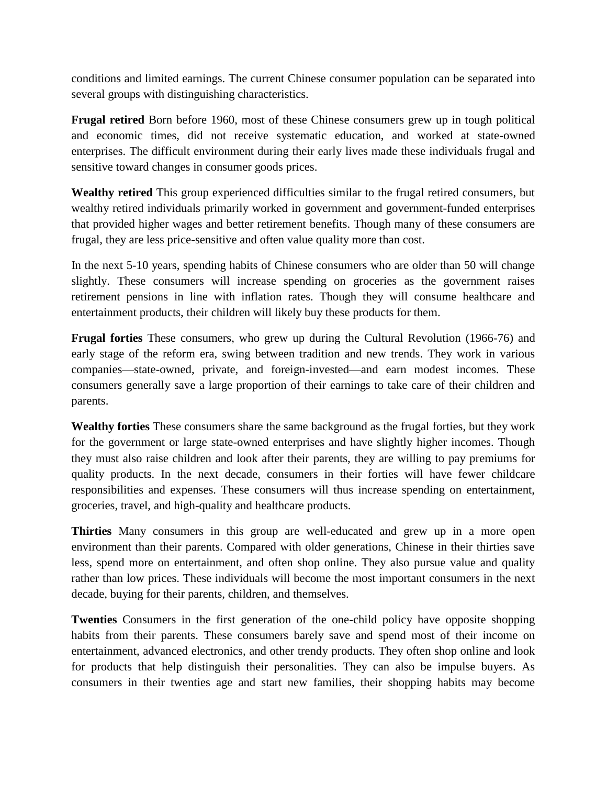conditions and limited earnings. The current Chinese consumer population can be separated into several groups with distinguishing characteristics.

**Frugal retired** Born before 1960, most of these Chinese consumers grew up in tough political and economic times, did not receive systematic education, and worked at state-owned enterprises. The difficult environment during their early lives made these individuals frugal and sensitive toward changes in consumer goods prices.

**Wealthy retired** This group experienced difficulties similar to the frugal retired consumers, but wealthy retired individuals primarily worked in government and government-funded enterprises that provided higher wages and better retirement benefits. Though many of these consumers are frugal, they are less price-sensitive and often value quality more than cost.

In the next 5-10 years, spending habits of Chinese consumers who are older than 50 will change slightly. These consumers will increase spending on groceries as the government raises retirement pensions in line with inflation rates. Though they will consume healthcare and entertainment products, their children will likely buy these products for them.

**Frugal forties** These consumers, who grew up during the Cultural Revolution (1966-76) and early stage of the reform era, swing between tradition and new trends. They work in various companies—state-owned, private, and foreign-invested—and earn modest incomes. These consumers generally save a large proportion of their earnings to take care of their children and parents.

**Wealthy forties** These consumers share the same background as the frugal forties, but they work for the government or large state-owned enterprises and have slightly higher incomes. Though they must also raise children and look after their parents, they are willing to pay premiums for quality products. In the next decade, consumers in their forties will have fewer childcare responsibilities and expenses. These consumers will thus increase spending on entertainment, groceries, travel, and high-quality and healthcare products.

**Thirties** Many consumers in this group are well-educated and grew up in a more open environment than their parents. Compared with older generations, Chinese in their thirties save less, spend more on entertainment, and often shop online. They also pursue value and quality rather than low prices. These individuals will become the most important consumers in the next decade, buying for their parents, children, and themselves.

**Twenties** Consumers in the first generation of the one-child policy have opposite shopping habits from their parents. These consumers barely save and spend most of their income on entertainment, advanced electronics, and other trendy products. They often shop online and look for products that help distinguish their personalities. They can also be impulse buyers. As consumers in their twenties age and start new families, their shopping habits may become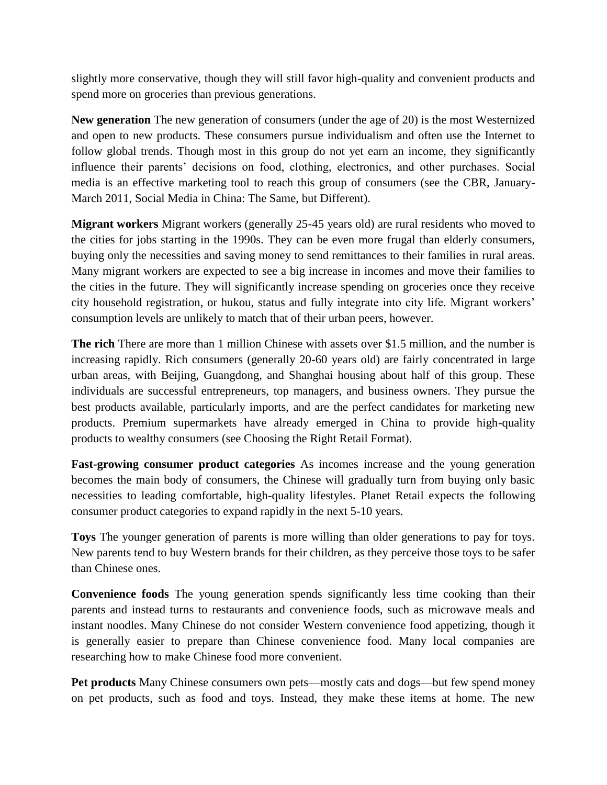slightly more conservative, though they will still favor high-quality and convenient products and spend more on groceries than previous generations.

**New generation** The new generation of consumers (under the age of 20) is the most Westernized and open to new products. These consumers pursue individualism and often use the Internet to follow global trends. Though most in this group do not yet earn an income, they significantly influence their parents' decisions on food, clothing, electronics, and other purchases. Social media is an effective marketing tool to reach this group of consumers (see the CBR, January-March 2011, Social Media in China: The Same, but Different).

**Migrant workers** Migrant workers (generally 25-45 years old) are rural residents who moved to the cities for jobs starting in the 1990s. They can be even more frugal than elderly consumers, buying only the necessities and saving money to send remittances to their families in rural areas. Many migrant workers are expected to see a big increase in incomes and move their families to the cities in the future. They will significantly increase spending on groceries once they receive city household registration, or hukou, status and fully integrate into city life. Migrant workers' consumption levels are unlikely to match that of their urban peers, however.

**The rich** There are more than 1 million Chinese with assets over \$1.5 million, and the number is increasing rapidly. Rich consumers (generally 20-60 years old) are fairly concentrated in large urban areas, with Beijing, Guangdong, and Shanghai housing about half of this group. These individuals are successful entrepreneurs, top managers, and business owners. They pursue the best products available, particularly imports, and are the perfect candidates for marketing new products. Premium supermarkets have already emerged in China to provide high-quality products to wealthy consumers (see Choosing the Right Retail Format).

**Fast-growing consumer product categories** As incomes increase and the young generation becomes the main body of consumers, the Chinese will gradually turn from buying only basic necessities to leading comfortable, high-quality lifestyles. Planet Retail expects the following consumer product categories to expand rapidly in the next 5-10 years.

**Toys** The younger generation of parents is more willing than older generations to pay for toys. New parents tend to buy Western brands for their children, as they perceive those toys to be safer than Chinese ones.

**Convenience foods** The young generation spends significantly less time cooking than their parents and instead turns to restaurants and convenience foods, such as microwave meals and instant noodles. Many Chinese do not consider Western convenience food appetizing, though it is generally easier to prepare than Chinese convenience food. Many local companies are researching how to make Chinese food more convenient.

**Pet products** Many Chinese consumers own pets—mostly cats and dogs—but few spend money on pet products, such as food and toys. Instead, they make these items at home. The new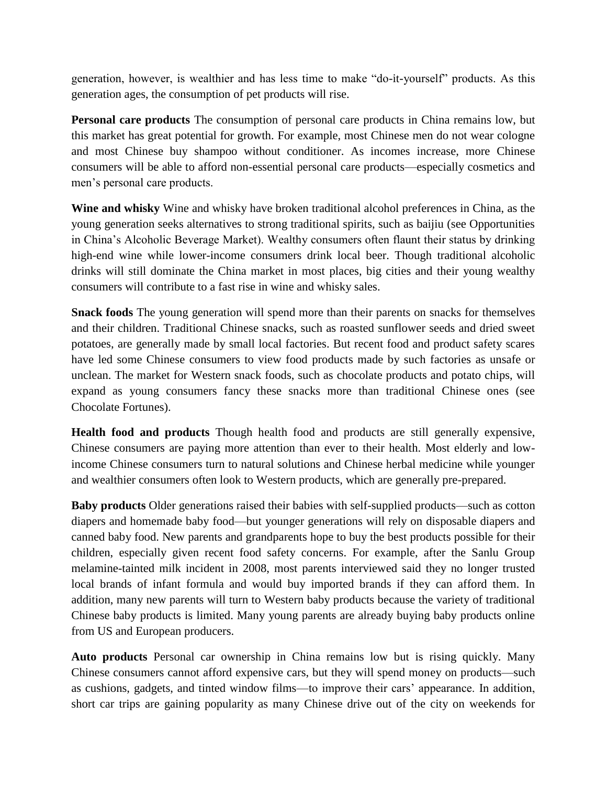generation, however, is wealthier and has less time to make "do-it-yourself" products. As this generation ages, the consumption of pet products will rise.

**Personal care products** The consumption of personal care products in China remains low, but this market has great potential for growth. For example, most Chinese men do not wear cologne and most Chinese buy shampoo without conditioner. As incomes increase, more Chinese consumers will be able to afford non-essential personal care products—especially cosmetics and men's personal care products.

**Wine and whisky** Wine and whisky have broken traditional alcohol preferences in China, as the young generation seeks alternatives to strong traditional spirits, such as baijiu (see Opportunities in China's Alcoholic Beverage Market). Wealthy consumers often flaunt their status by drinking high-end wine while lower-income consumers drink local beer. Though traditional alcoholic drinks will still dominate the China market in most places, big cities and their young wealthy consumers will contribute to a fast rise in wine and whisky sales.

**Snack foods** The young generation will spend more than their parents on snacks for themselves and their children. Traditional Chinese snacks, such as roasted sunflower seeds and dried sweet potatoes, are generally made by small local factories. But recent food and product safety scares have led some Chinese consumers to view food products made by such factories as unsafe or unclean. The market for Western snack foods, such as chocolate products and potato chips, will expand as young consumers fancy these snacks more than traditional Chinese ones (see Chocolate Fortunes).

**Health food and products** Though health food and products are still generally expensive, Chinese consumers are paying more attention than ever to their health. Most elderly and lowincome Chinese consumers turn to natural solutions and Chinese herbal medicine while younger and wealthier consumers often look to Western products, which are generally pre-prepared.

**Baby products** Older generations raised their babies with self-supplied products—such as cotton diapers and homemade baby food—but younger generations will rely on disposable diapers and canned baby food. New parents and grandparents hope to buy the best products possible for their children, especially given recent food safety concerns. For example, after the Sanlu Group melamine-tainted milk incident in 2008, most parents interviewed said they no longer trusted local brands of infant formula and would buy imported brands if they can afford them. In addition, many new parents will turn to Western baby products because the variety of traditional Chinese baby products is limited. Many young parents are already buying baby products online from US and European producers.

**Auto products** Personal car ownership in China remains low but is rising quickly. Many Chinese consumers cannot afford expensive cars, but they will spend money on products—such as cushions, gadgets, and tinted window films—to improve their cars' appearance. In addition, short car trips are gaining popularity as many Chinese drive out of the city on weekends for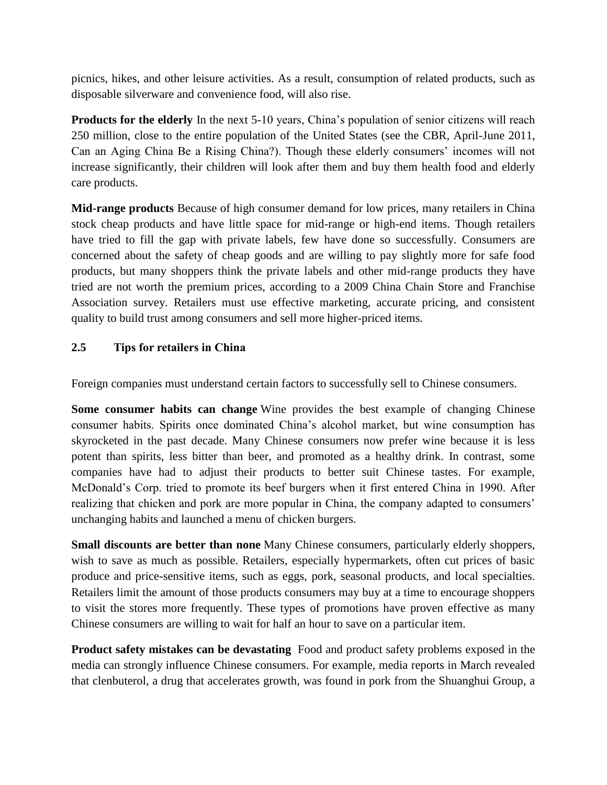picnics, hikes, and other leisure activities. As a result, consumption of related products, such as disposable silverware and convenience food, will also rise.

**Products for the elderly** In the next 5-10 years, China's population of senior citizens will reach 250 million, close to the entire population of the United States (see the CBR, April-June 2011, Can an Aging China Be a Rising China?). Though these elderly consumers' incomes will not increase significantly, their children will look after them and buy them health food and elderly care products.

**Mid-range products** Because of high consumer demand for low prices, many retailers in China stock cheap products and have little space for mid-range or high-end items. Though retailers have tried to fill the gap with private labels, few have done so successfully. Consumers are concerned about the safety of cheap goods and are willing to pay slightly more for safe food products, but many shoppers think the private labels and other mid-range products they have tried are not worth the premium prices, according to a 2009 China Chain Store and Franchise Association survey. Retailers must use effective marketing, accurate pricing, and consistent quality to build trust among consumers and sell more higher-priced items.

# **2.5 Tips for retailers in China**

Foreign companies must understand certain factors to successfully sell to Chinese consumers.

**Some consumer habits can change** Wine provides the best example of changing Chinese consumer habits. Spirits once dominated China's alcohol market, but wine consumption has skyrocketed in the past decade. Many Chinese consumers now prefer wine because it is less potent than spirits, less bitter than beer, and promoted as a healthy drink. In contrast, some companies have had to adjust their products to better suit Chinese tastes. For example, McDonald's Corp. tried to promote its beef burgers when it first entered China in 1990. After realizing that chicken and pork are more popular in China, the company adapted to consumers' unchanging habits and launched a menu of chicken burgers.

**Small discounts are better than none** Many Chinese consumers, particularly elderly shoppers, wish to save as much as possible. Retailers, especially hypermarkets, often cut prices of basic produce and price-sensitive items, such as eggs, pork, seasonal products, and local specialties. Retailers limit the amount of those products consumers may buy at a time to encourage shoppers to visit the stores more frequently. These types of promotions have proven effective as many Chinese consumers are willing to wait for half an hour to save on a particular item.

**Product safety mistakes can be devastating** Food and product safety problems exposed in the media can strongly influence Chinese consumers. For example, media reports in March revealed that clenbuterol, a drug that accelerates growth, was found in pork from the Shuanghui Group, a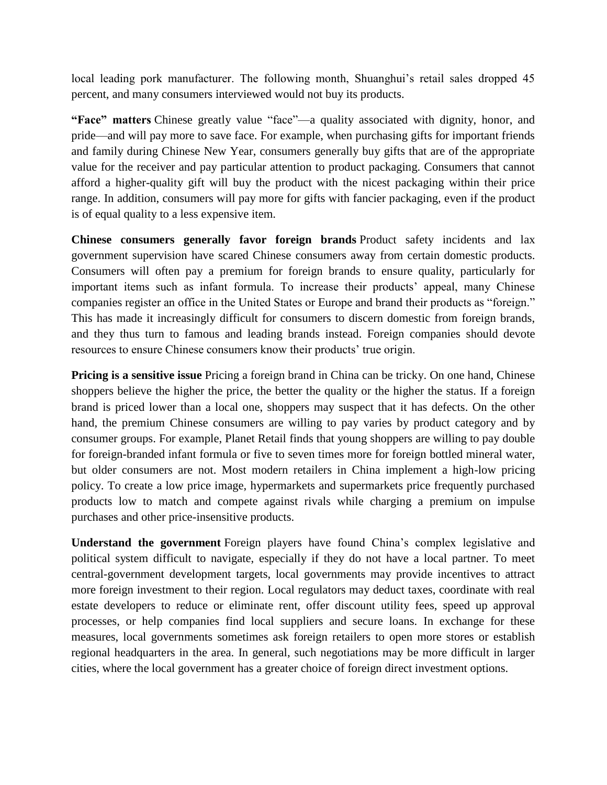local leading pork manufacturer. The following month, Shuanghui's retail sales dropped 45 percent, and many consumers interviewed would not buy its products.

**"Face" matters** Chinese greatly value "face"—a quality associated with dignity, honor, and pride—and will pay more to save face. For example, when purchasing gifts for important friends and family during Chinese New Year, consumers generally buy gifts that are of the appropriate value for the receiver and pay particular attention to product packaging. Consumers that cannot afford a higher-quality gift will buy the product with the nicest packaging within their price range. In addition, consumers will pay more for gifts with fancier packaging, even if the product is of equal quality to a less expensive item.

**Chinese consumers generally favor foreign brands** Product safety incidents and lax government supervision have scared Chinese consumers away from certain domestic products. Consumers will often pay a premium for foreign brands to ensure quality, particularly for important items such as infant formula. To increase their products' appeal, many Chinese companies register an office in the United States or Europe and brand their products as "foreign." This has made it increasingly difficult for consumers to discern domestic from foreign brands, and they thus turn to famous and leading brands instead. Foreign companies should devote resources to ensure Chinese consumers know their products' true origin.

**Pricing is a sensitive issue** Pricing a foreign brand in China can be tricky. On one hand, Chinese shoppers believe the higher the price, the better the quality or the higher the status. If a foreign brand is priced lower than a local one, shoppers may suspect that it has defects. On the other hand, the premium Chinese consumers are willing to pay varies by product category and by consumer groups. For example, Planet Retail finds that young shoppers are willing to pay double for foreign-branded infant formula or five to seven times more for foreign bottled mineral water, but older consumers are not. Most modern retailers in China implement a high-low pricing policy. To create a low price image, hypermarkets and supermarkets price frequently purchased products low to match and compete against rivals while charging a premium on impulse purchases and other price-insensitive products.

**Understand the government** Foreign players have found China's complex legislative and political system difficult to navigate, especially if they do not have a local partner. To meet central-government development targets, local governments may provide incentives to attract more foreign investment to their region. Local regulators may deduct taxes, coordinate with real estate developers to reduce or eliminate rent, offer discount utility fees, speed up approval processes, or help companies find local suppliers and secure loans. In exchange for these measures, local governments sometimes ask foreign retailers to open more stores or establish regional headquarters in the area. In general, such negotiations may be more difficult in larger cities, where the local government has a greater choice of foreign direct investment options.